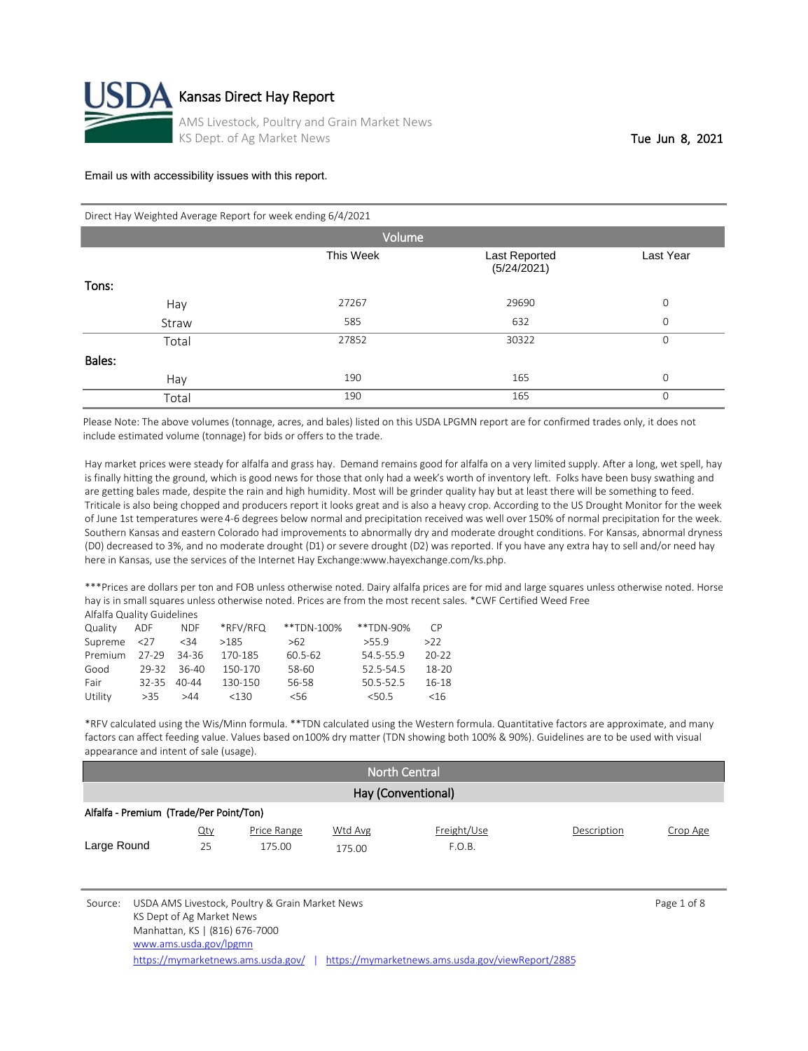

#### Direct Hay Weighted Average Report for week ending 6/4/2021

| Volume |           |                              |                |  |  |  |  |  |
|--------|-----------|------------------------------|----------------|--|--|--|--|--|
|        | This Week | Last Reported<br>(5/24/2021) | Last Year      |  |  |  |  |  |
| Tons:  |           |                              |                |  |  |  |  |  |
| Hay    | 27267     | 29690                        | $\overline{0}$ |  |  |  |  |  |
| Straw  | 585       | 632                          | $\mathbf 0$    |  |  |  |  |  |
| Total  | 27852     | 30322                        | $\mathbf 0$    |  |  |  |  |  |
| Bales: |           |                              |                |  |  |  |  |  |
| Hay    | 190       | 165                          | $\mathbf 0$    |  |  |  |  |  |
| Total  | 190       | 165                          | $\mathbf 0$    |  |  |  |  |  |

Please Note: The above volumes (tonnage, acres, and bales) listed on this USDA LPGMN report are for confirmed trades only, it does not include estimated volume (tonnage) for bids or offers to the trade.

Hay market prices were steady for alfalfa and grass hay. Demand remains good for alfalfa on a very limited supply. After a long, wet spell, hay is finally hitting the ground, which is good news for those that only had a week's worth of inventory left. Folks have been busy swathing and are getting bales made, despite the rain and high humidity. Most will be grinder quality hay but at least there will be something to feed. Triticale is also being chopped and producers report it looks great and is also a heavy crop. According to the US Drought Monitor for the week of June 1st temperatures were 4-6 degrees below normal and precipitation received was well over 150% of normal precipitation for the week. Southern Kansas and eastern Colorado had improvements to abnormally dry and moderate drought conditions. For Kansas, abnormal dryness (D0) decreased to 3%, and no moderate drought (D1) or severe drought (D2) was reported. If you have any extra hay to sell and/or need hay here in Kansas, use the services of the Internet Hay Exchange:www.hayexchange.com/ks.php.

\*\*\*Prices are dollars per ton and FOB unless otherwise noted. Dairy alfalfa prices are for mid and large squares unless otherwise noted. Horse hay is in small squares unless otherwise noted. Prices are from the most recent sales. \*CWF Certified Weed Free Alfalfa Quality Guidelines

| Quality     | ADF         | NDF.  | *RFV/RFQ | **TDN-100%      | **TDN-90% | $\subset P$ |
|-------------|-------------|-------|----------|-----------------|-----------|-------------|
| Supreme <27 |             | $34$  | >185     | >62             | >55.9     | >22         |
| Premium     | 27-29 34-36 |       | 170-185  | 60.5-62         | 54.5-55.9 | $20 - 22$   |
| Good        | 29-32       | 36-40 | 150-170  | 58-60           | 52.5-54.5 | 18-20       |
| Fair        | $32 - 35$   | 40-44 | 130-150  | 56-58           | 50.5-52.5 | 16-18       |
| Utility     | >35         | >44   | <130     | 56 <sub>6</sub> | < 50.5    | <16         |

\*RFV calculated using the Wis/Minn formula. \*\*TDN calculated using the Western formula. Quantitative factors are approximate, and many factors can affect feeding value. Values based on 100% dry matter (TDN showing both 100% & 90%). Guidelines are to be used with visual appearance and intent of sale (usage).

| <b>North Central</b> |                                         |                       |                   |                       |             |          |  |
|----------------------|-----------------------------------------|-----------------------|-------------------|-----------------------|-------------|----------|--|
| Hay (Conventional)   |                                         |                       |                   |                       |             |          |  |
|                      | Alfalfa - Premium (Trade/Per Point/Ton) |                       |                   |                       |             |          |  |
| Large Round          | <u>Qty</u><br>25                        | Price Range<br>175.00 | Wtd Avg<br>175.00 | Freight/Use<br>F.O.B. | Description | Crop Age |  |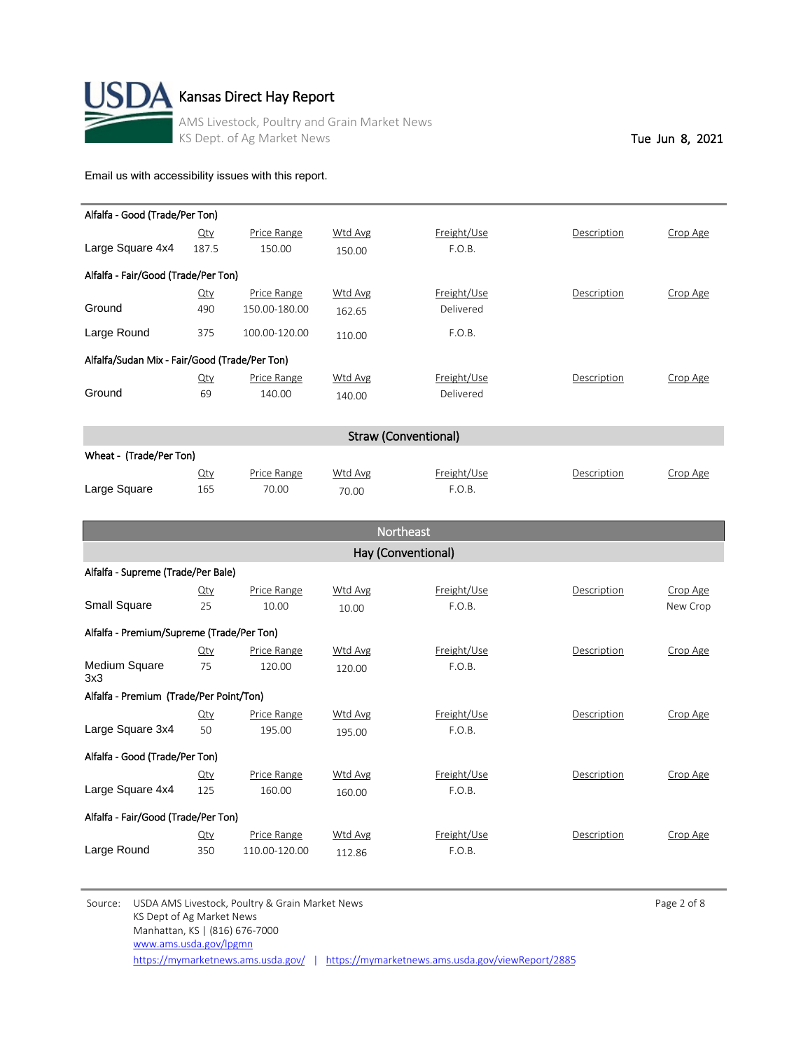

# $\mathbf A$  Kansas Direct Hay Report

AMS Livestock, Poultry and Grain Market News KS Dept. of Ag Market News Tue Jun 8, 2021

[Email us with accessibility issues with this report.](mailto:mars@ams.usda.gov?subjectNot%20able%20to%20access%20video%20auction%20report)

| Alfalfa - Good (Trade/Per Ton)                |             |               |                |                             |             |          |
|-----------------------------------------------|-------------|---------------|----------------|-----------------------------|-------------|----------|
|                                               | <u>Qty</u>  | Price Range   | Wtd Avg        | Freight/Use                 | Description | Crop Age |
| Large Square 4x4                              | 187.5       | 150.00        | 150.00         | F.O.B.                      |             |          |
| Alfalfa - Fair/Good (Trade/Per Ton)           |             |               |                |                             |             |          |
|                                               | $Q$ ty      | Price Range   | <b>Wtd Avg</b> | Freight/Use                 | Description | Crop Age |
| Ground                                        | 490         | 150.00-180.00 | 162.65         | Delivered                   |             |          |
| Large Round                                   | 375         | 100.00-120.00 | 110.00         | F.O.B.                      |             |          |
| Alfalfa/Sudan Mix - Fair/Good (Trade/Per Ton) |             |               |                |                             |             |          |
|                                               | $\Omega$ ty | Price Range   | Wtd Avg        | Freight/Use                 | Description | Crop Age |
| Ground                                        | 69          | 140.00        | 140.00         | Delivered                   |             |          |
|                                               |             |               |                |                             |             |          |
|                                               |             |               |                | <b>Straw (Conventional)</b> |             |          |
| Wheat - (Trade/Per Ton)                       |             |               |                |                             |             |          |

|              | Qtv | Price Range | Wtd Avg | Freight/Use        | Description | Crop Age |
|--------------|-----|-------------|---------|--------------------|-------------|----------|
| Large Square | 165 | 70.00       | 70.00   | <sup>=</sup> .O.B. |             |          |

|                                           |        |                    |                | <b>Northeast</b>   |             |          |
|-------------------------------------------|--------|--------------------|----------------|--------------------|-------------|----------|
|                                           |        |                    |                | Hay (Conventional) |             |          |
| Alfalfa - Supreme (Trade/Per Bale)        |        |                    |                |                    |             |          |
|                                           | $Q$ ty | Price Range        | Wtd Avg        | Freight/Use        | Description | Crop Age |
| Small Square                              | 25     | 10.00              | 10.00          | F.O.B.             |             | New Crop |
| Alfalfa - Premium/Supreme (Trade/Per Ton) |        |                    |                |                    |             |          |
|                                           | Qty    | Price Range        | <b>Wtd Avg</b> | Freight/Use        | Description | Crop Age |
| Medium Square<br>3x3                      | 75     | 120.00             | 120.00         | F.O.B.             |             |          |
| Alfalfa - Premium (Trade/Per Point/Ton)   |        |                    |                |                    |             |          |
|                                           | Qty    | Price Range        | <b>Wtd Avg</b> | Freight/Use        | Description | Crop Age |
| Large Square 3x4                          | 50     | 195.00             | 195.00         | F.O.B.             |             |          |
| Alfalfa - Good (Trade/Per Ton)            |        |                    |                |                    |             |          |
|                                           | $Q$ ty | <b>Price Range</b> | <b>Wtd Avg</b> | Freight/Use        | Description | Crop Age |
| Large Square 4x4                          | 125    | 160.00             | 160.00         | F.O.B.             |             |          |
| Alfalfa - Fair/Good (Trade/Per Ton)       |        |                    |                |                    |             |          |
|                                           | $Q$ ty | <b>Price Range</b> | <b>Wtd Avg</b> | Freight/Use        | Description | Crop Age |
| Large Round                               | 350    | 110.00-120.00      | 112.86         | F.O.B.             |             |          |

Source: USDA AMS Livestock, Poultry & Grain Market News Page 2 of 8 KS Dept of Ag Market News Manhattan, KS | (816) 676-7000 <https://mymarketnews.ams.usda.gov/> | <https://mymarketnews.ams.usda.gov/viewReport/2885> [www.ams.usda.gov/lpgmn](http://www.ams.usda.gov/lpgmn)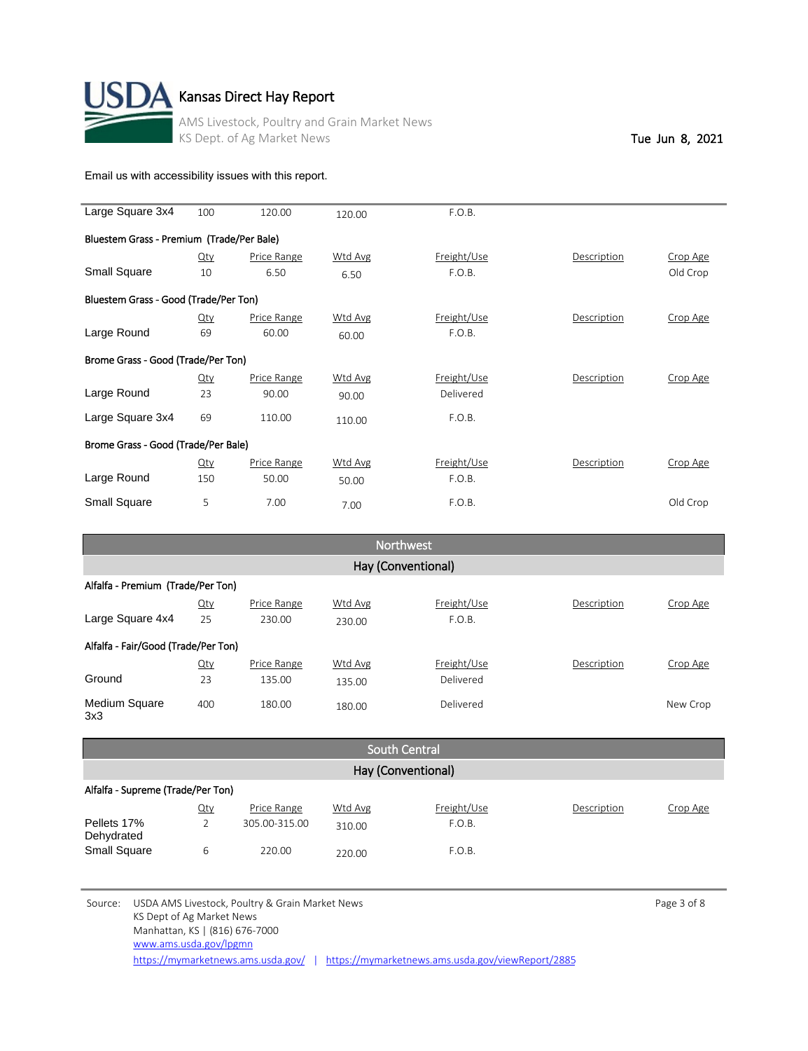

# **A** Kansas Direct Hay Report

AMS Livestock, Poultry and Grain Market News KS Dept. of Ag Market News Tue Jun 8, 2021

[Email us with accessibility issues with this report.](mailto:mars@ams.usda.gov?subjectNot%20able%20to%20access%20video%20auction%20report)

| Large Square 3x4                      | 100                                       | 120.00      | 120.00  | F.O.B.      |             |          |  |  |  |
|---------------------------------------|-------------------------------------------|-------------|---------|-------------|-------------|----------|--|--|--|
|                                       | Bluestem Grass - Premium (Trade/Per Bale) |             |         |             |             |          |  |  |  |
|                                       | Qty                                       | Price Range | Wtd Avg | Freight/Use | Description | Crop Age |  |  |  |
| <b>Small Square</b>                   | 10                                        | 6.50        | 6.50    | F.O.B.      |             | Old Crop |  |  |  |
| Bluestem Grass - Good (Trade/Per Ton) |                                           |             |         |             |             |          |  |  |  |
|                                       | $Q$ ty                                    | Price Range | Wtd Avg | Freight/Use | Description | Crop Age |  |  |  |
| Large Round                           | 69                                        | 60.00       | 60.00   | F.O.B.      |             |          |  |  |  |
| Brome Grass - Good (Trade/Per Ton)    |                                           |             |         |             |             |          |  |  |  |
|                                       | $Q$ ty                                    | Price Range | Wtd Avg | Freight/Use | Description | Crop Age |  |  |  |
| Large Round                           | 23                                        | 90.00       | 90.00   | Delivered   |             |          |  |  |  |
| Large Square 3x4                      | 69                                        | 110.00      | 110.00  | F.O.B.      |             |          |  |  |  |
| Brome Grass - Good (Trade/Per Bale)   |                                           |             |         |             |             |          |  |  |  |
|                                       | Qty                                       | Price Range | Wtd Avg | Freight/Use | Description | Crop Age |  |  |  |
| Large Round                           | 150                                       | 50.00       | 50.00   | F.O.B.      |             |          |  |  |  |
| <b>Small Square</b>                   | 5                                         | 7.00        | 7.00    | F.O.B.      |             | Old Crop |  |  |  |

| Northwest                           |                    |             |         |             |             |          |  |  |  |
|-------------------------------------|--------------------|-------------|---------|-------------|-------------|----------|--|--|--|
|                                     | Hay (Conventional) |             |         |             |             |          |  |  |  |
| Alfalfa - Premium (Trade/Per Ton)   |                    |             |         |             |             |          |  |  |  |
|                                     | $Q$ ty             | Price Range | Wtd Avg | Freight/Use | Description | Crop Age |  |  |  |
| Large Square 4x4                    | 25                 | 230.00      | 230.00  | F.O.B.      |             |          |  |  |  |
| Alfalfa - Fair/Good (Trade/Per Ton) |                    |             |         |             |             |          |  |  |  |
|                                     | $Q$ ty             | Price Range | Wtd Avg | Freight/Use | Description | Crop Age |  |  |  |
| Ground                              | 23                 | 135.00      | 135.00  | Delivered   |             |          |  |  |  |
| <b>Medium Square</b><br>3x3         | 400                | 180.00      | 180.00  | Delivered   |             | New Crop |  |  |  |

| <b>South Central</b>              |     |               |         |             |             |          |  |
|-----------------------------------|-----|---------------|---------|-------------|-------------|----------|--|
| Hay (Conventional)                |     |               |         |             |             |          |  |
| Alfalfa - Supreme (Trade/Per Ton) |     |               |         |             |             |          |  |
|                                   | Qty | Price Range   | Wtd Avg | Freight/Use | Description | Crop Age |  |
| Pellets 17%<br>Dehydrated         |     | 305.00-315.00 | 310.00  | F.O.B.      |             |          |  |
| <b>Small Square</b>               | 6   | 220.00        | 220.00  | F.O.B.      |             |          |  |

Source: USDA AMS Livestock, Poultry & Grain Market News **Page 3 of 8** Page 3 of 8 KS Dept of Ag Market News Manhattan, KS | (816) 676-7000 <https://mymarketnews.ams.usda.gov/> | <https://mymarketnews.ams.usda.gov/viewReport/2885> [www.ams.usda.gov/lpgmn](http://www.ams.usda.gov/lpgmn)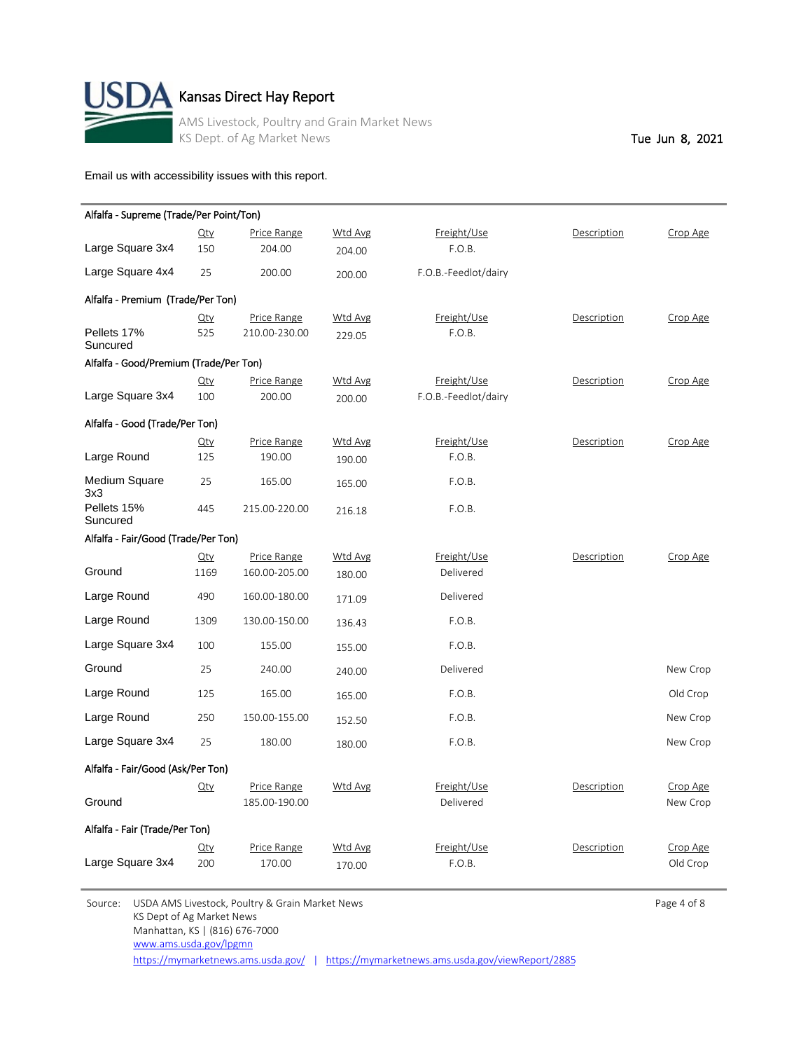

| Alfalfa - Supreme (Trade/Per Point/Ton) |        |               |         |                      |             |          |
|-----------------------------------------|--------|---------------|---------|----------------------|-------------|----------|
|                                         | $Q$ ty | Price Range   | Wtd Avg | Freight/Use          | Description | Crop Age |
| Large Square 3x4                        | 150    | 204.00        | 204.00  | F.O.B.               |             |          |
| Large Square 4x4                        | 25     | 200.00        | 200.00  | F.O.B.-Feedlot/dairy |             |          |
| Alfalfa - Premium (Trade/Per Ton)       |        |               |         |                      |             |          |
|                                         | Qty    | Price Range   | Wtd Avg | Freight/Use          | Description | Crop Age |
| Pellets 17%<br>Suncured                 | 525    | 210.00-230.00 | 229.05  | F.O.B.               |             |          |
| Alfalfa - Good/Premium (Trade/Per Ton)  |        |               |         |                      |             |          |
|                                         | $Q$ ty | Price Range   | Wtd Avg | Freight/Use          | Description | Crop Age |
| Large Square 3x4                        | 100    | 200.00        | 200.00  | F.O.B.-Feedlot/dairy |             |          |
| Alfalfa - Good (Trade/Per Ton)          |        |               |         |                      |             |          |
|                                         | $Q$ ty | Price Range   | Wtd Avg | Freight/Use          | Description | Crop Age |
| Large Round                             | 125    | 190.00        | 190.00  | F.O.B.               |             |          |
| Medium Square<br>3x3                    | 25     | 165.00        | 165.00  | F.O.B.               |             |          |
| Pellets 15%<br>Suncured                 | 445    | 215.00-220.00 | 216.18  | F.O.B.               |             |          |
| Alfalfa - Fair/Good (Trade/Per Ton)     |        |               |         |                      |             |          |
|                                         | $Q$ ty | Price Range   | Wtd Avg | Freight/Use          | Description | Crop Age |
| Ground                                  | 1169   | 160.00-205.00 | 180.00  | Delivered            |             |          |
| Large Round                             | 490    | 160.00-180.00 | 171.09  | Delivered            |             |          |
| Large Round                             | 1309   | 130.00-150.00 | 136.43  | F.O.B.               |             |          |
| Large Square 3x4                        | 100    | 155.00        | 155.00  | F.O.B.               |             |          |
| Ground                                  | 25     | 240.00        | 240.00  | Delivered            |             | New Crop |
| Large Round                             | 125    | 165.00        | 165.00  | F.O.B.               |             | Old Crop |
| Large Round                             | 250    | 150.00-155.00 | 152.50  | F.O.B.               |             | New Crop |
| Large Square 3x4                        | 25     | 180.00        | 180.00  | F.O.B.               |             | New Crop |
| Alfalfa - Fair/Good (Ask/Per Ton)       |        |               |         |                      |             |          |
|                                         | $Q$ ty | Price Range   | Wtd Avg | Freight/Use          | Description | Crop Age |
| Ground                                  |        | 185.00-190.00 |         | Delivered            |             | New Crop |
| Alfalfa - Fair (Trade/Per Ton)          |        |               |         |                      |             |          |
|                                         | $Q$ ty | Price Range   | Wtd Avg | Freight/Use          | Description | Crop Age |
| Large Square 3x4                        | 200    | 170.00        | 170.00  | F.O.B.               |             | Old Crop |

Source: USDA AMS Livestock, Poultry & Grain Market News **Page 4 of 8** Page 4 of 8 KS Dept of Ag Market News Manhattan, KS | (816) 676-7000 [www.ams.usda.gov/lpgmn](http://www.ams.usda.gov/lpgmn)

<https://mymarketnews.ams.usda.gov/> | <https://mymarketnews.ams.usda.gov/viewReport/2885>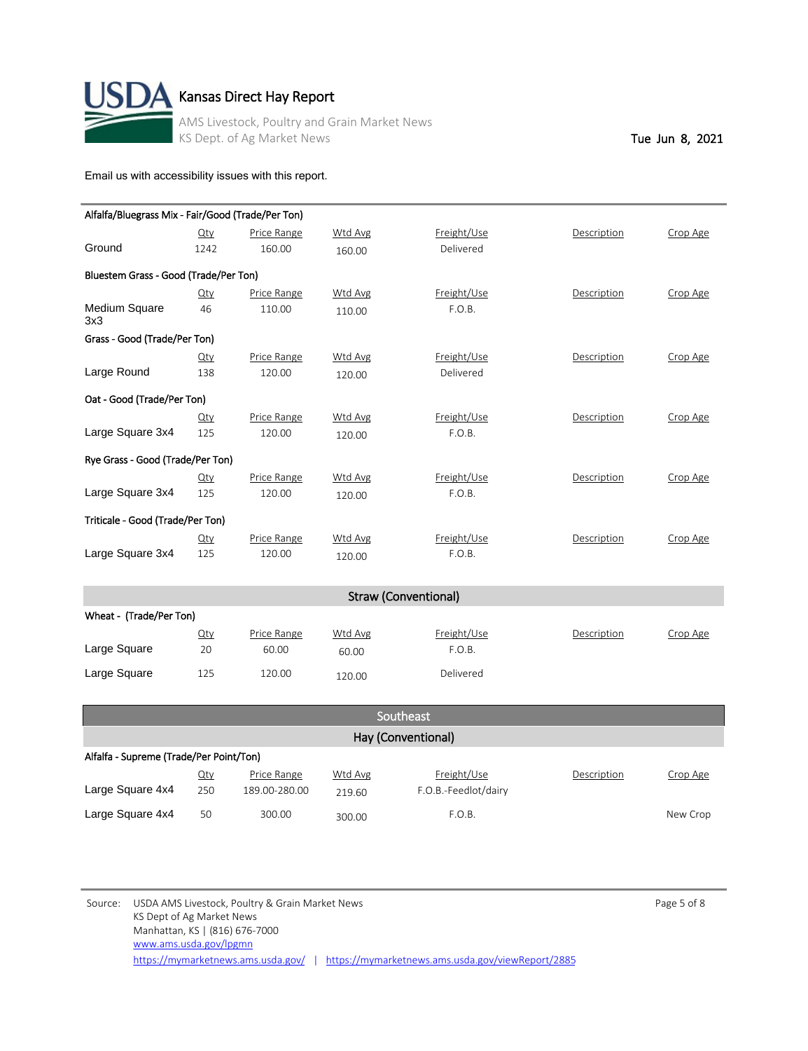

| Oat - Good (Trade/Per Ton)       |                             |                       |                   |                       |             |          |  |  |
|----------------------------------|-----------------------------|-----------------------|-------------------|-----------------------|-------------|----------|--|--|
|                                  | $Q$ ty                      | Price Range           | Wtd Avg           | Freight/Use           | Description | Crop Age |  |  |
| Large Square 3x4                 | 125                         | 120.00                | 120.00            | F.O.B.                |             |          |  |  |
| Rye Grass - Good (Trade/Per Ton) |                             |                       |                   |                       |             |          |  |  |
| Large Square 3x4                 | $Q$ ty<br>125               | Price Range<br>120.00 | Wtd Avg<br>120.00 | Freight/Use<br>F.O.B. | Description | Crop Age |  |  |
| Triticale - Good (Trade/Per Ton) |                             |                       |                   |                       |             |          |  |  |
| Large Square 3x4                 | $Q$ ty<br>125               | Price Range<br>120.00 | Wtd Avg<br>120.00 | Freight/Use<br>F.O.B. | Description | Crop Age |  |  |
|                                  | <b>Straw (Conventional)</b> |                       |                   |                       |             |          |  |  |

| Wheat - (Trade/Per Ton) |                  |                      |                  |                       |             |          |  |
|-------------------------|------------------|----------------------|------------------|-----------------------|-------------|----------|--|
| Large Square            | <u>Qty</u><br>20 | Price Range<br>60.00 | Wtd Avg<br>60.00 | Freight/Use<br>F.O.B. | Description | Crop Age |  |
| Large Square            | 125              | 120.00               | 120.00           | Delivered             |             |          |  |

| Southeast                               |            |               |                |                      |             |          |  |
|-----------------------------------------|------------|---------------|----------------|----------------------|-------------|----------|--|
| Hay (Conventional)                      |            |               |                |                      |             |          |  |
| Alfalfa - Supreme (Trade/Per Point/Ton) |            |               |                |                      |             |          |  |
|                                         | <u>Qty</u> | Price Range   | <b>Wtd Avg</b> | Freight/Use          | Description | Crop Age |  |
| Large Square 4x4                        | 250        | 189.00-280.00 | 219.60         | F.O.B.-Feedlot/dairy |             |          |  |
| Large Square 4x4                        | 50         | 300.00        | 300.00         | F.O.B.               |             | New Crop |  |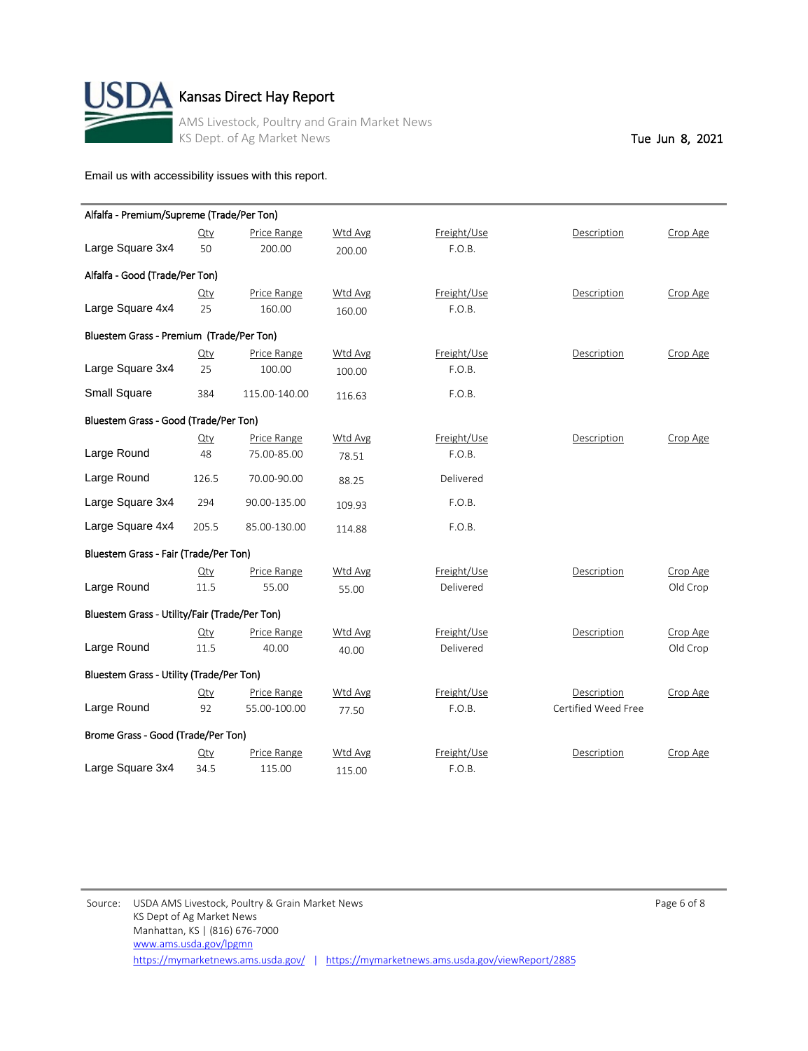

| Alfalfa - Premium/Supreme (Trade/Per Ton)     |        |               |         |             |                     |          |
|-----------------------------------------------|--------|---------------|---------|-------------|---------------------|----------|
|                                               | $Q$ ty | Price Range   | Wtd Avg | Freight/Use | Description         | Crop Age |
| Large Square 3x4                              | 50     | 200.00        | 200.00  | F.O.B.      |                     |          |
| Alfalfa - Good (Trade/Per Ton)                |        |               |         |             |                     |          |
|                                               | Qty    | Price Range   | Wtd Avg | Freight/Use | Description         | Crop Age |
| Large Square 4x4                              | 25     | 160.00        | 160.00  | F.O.B.      |                     |          |
| Bluestem Grass - Premium (Trade/Per Ton)      |        |               |         |             |                     |          |
|                                               | $Q$ ty | Price Range   | Wtd Avg | Freight/Use | Description         | Crop Age |
| Large Square 3x4                              | 25     | 100.00        | 100.00  | F.O.B.      |                     |          |
| <b>Small Square</b>                           | 384    | 115.00-140.00 | 116.63  | F.O.B.      |                     |          |
| Bluestem Grass - Good (Trade/Per Ton)         |        |               |         |             |                     |          |
|                                               | $Q$ ty | Price Range   | Wtd Avg | Freight/Use | Description         | Crop Age |
| Large Round                                   | 48     | 75.00-85.00   | 78.51   | F.O.B.      |                     |          |
| Large Round                                   | 126.5  | 70.00-90.00   | 88.25   | Delivered   |                     |          |
| Large Square 3x4                              | 294    | 90.00-135.00  | 109.93  | F.O.B.      |                     |          |
| Large Square 4x4                              | 205.5  | 85.00-130.00  | 114.88  | F.O.B.      |                     |          |
| Bluestem Grass - Fair (Trade/Per Ton)         |        |               |         |             |                     |          |
|                                               | $Q$ ty | Price Range   | Wtd Avg | Freight/Use | Description         | Crop Age |
| Large Round                                   | 11.5   | 55.00         | 55.00   | Delivered   |                     | Old Crop |
| Bluestem Grass - Utility/Fair (Trade/Per Ton) |        |               |         |             |                     |          |
|                                               | $Q$ ty | Price Range   | Wtd Avg | Freight/Use | Description         | Crop Age |
| Large Round                                   | 11.5   | 40.00         | 40.00   | Delivered   |                     | Old Crop |
| Bluestem Grass - Utility (Trade/Per Ton)      |        |               |         |             |                     |          |
|                                               | Qty    | Price Range   | Wtd Avg | Freight/Use | Description         | Crop Age |
| Large Round                                   | 92     | 55.00-100.00  | 77.50   | F.O.B.      | Certified Weed Free |          |
| Brome Grass - Good (Trade/Per Ton)            |        |               |         |             |                     |          |
|                                               | $Q$ ty | Price Range   | Wtd Avg | Freight/Use | Description         | Crop Age |
| Large Square 3x4                              | 34.5   | 115.00        | 115.00  | F.O.B.      |                     |          |

Source: USDA AMS Livestock, Poultry & Grain Market News **Page 6 of 8** Page 6 of 8 KS Dept of Ag Market News Manhattan, KS | (816) 676-7000 <https://mymarketnews.ams.usda.gov/> | <https://mymarketnews.ams.usda.gov/viewReport/2885> [www.ams.usda.gov/lpgmn](http://www.ams.usda.gov/lpgmn)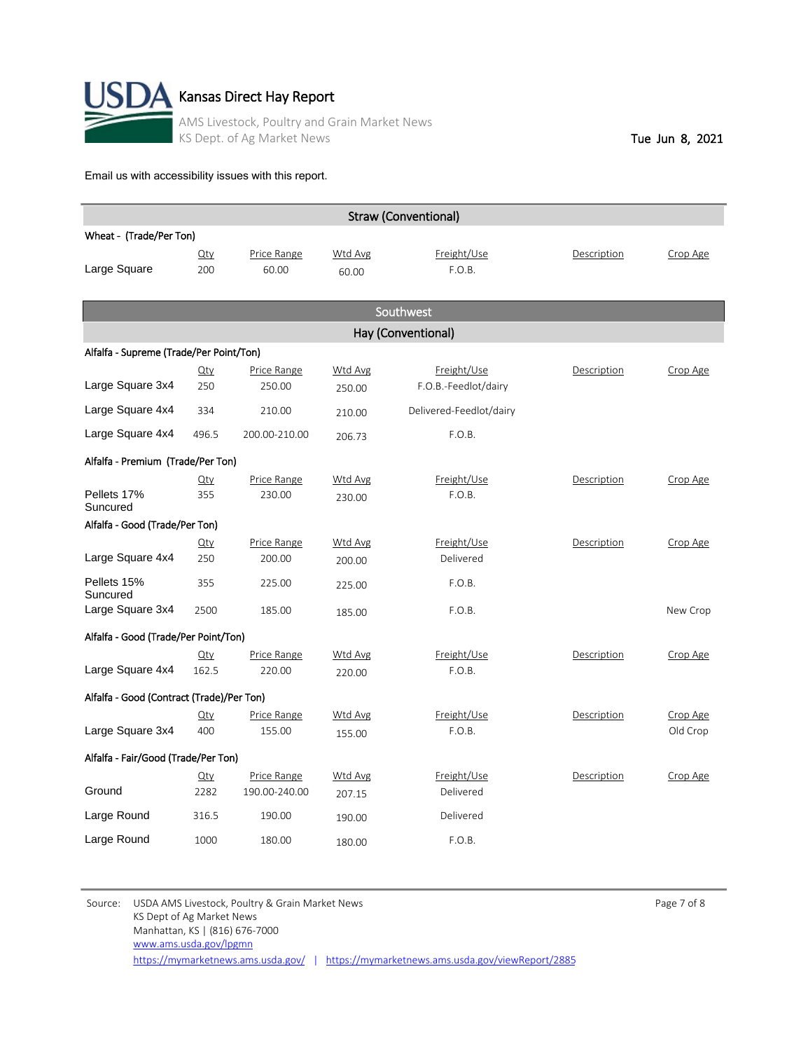

| <b>Straw (Conventional)</b>               |               |                       |                   |                                     |             |          |  |  |
|-------------------------------------------|---------------|-----------------------|-------------------|-------------------------------------|-------------|----------|--|--|
| Wheat - (Trade/Per Ton)                   |               |                       |                   |                                     |             |          |  |  |
| Large Square                              | $Q$ ty<br>200 | Price Range<br>60.00  | Wtd Avg<br>60.00  | Freight/Use<br>F.O.B.               | Description | Crop Age |  |  |
|                                           |               |                       |                   | Southwest                           |             |          |  |  |
|                                           |               |                       |                   | Hay (Conventional)                  |             |          |  |  |
| Alfalfa - Supreme (Trade/Per Point/Ton)   |               |                       |                   |                                     |             |          |  |  |
| Large Square 3x4                          | $Q$ ty<br>250 | Price Range<br>250.00 | Wtd Avg<br>250.00 | Freight/Use<br>F.O.B.-Feedlot/dairy | Description | Crop Age |  |  |
| Large Square 4x4                          | 334           | 210.00                | 210.00            | Delivered-Feedlot/dairy             |             |          |  |  |
| Large Square 4x4                          | 496.5         | 200.00-210.00         | 206.73            | F.O.B.                              |             |          |  |  |
| Alfalfa - Premium (Trade/Per Ton)         |               |                       |                   |                                     |             |          |  |  |
|                                           | $Q$ ty        | Price Range           | Wtd Avg           | Freight/Use                         | Description | Crop Age |  |  |
| Pellets 17%<br>Suncured                   | 355           | 230.00                | 230.00            | F.O.B.                              |             |          |  |  |
| Alfalfa - Good (Trade/Per Ton)            |               |                       |                   |                                     |             |          |  |  |
|                                           | $Q$ ty        | Price Range           | Wtd Avg           | Freight/Use                         | Description | Crop Age |  |  |
| Large Square 4x4                          | 250           | 200.00                | 200.00            | Delivered                           |             |          |  |  |
| Pellets 15%<br>Suncured                   | 355           | 225.00                | 225.00            | F.O.B.                              |             |          |  |  |
| Large Square 3x4                          | 2500          | 185.00                | 185.00            | F.O.B.                              |             | New Crop |  |  |
| Alfalfa - Good (Trade/Per Point/Ton)      |               |                       |                   |                                     |             |          |  |  |
|                                           | $Q$ ty        | Price Range           | Wtd Avg           | Freight/Use                         | Description | Crop Age |  |  |
| Large Square 4x4                          | 162.5         | 220.00                | 220.00            | F.O.B.                              |             |          |  |  |
| Alfalfa - Good (Contract (Trade)/Per Ton) |               |                       |                   |                                     |             |          |  |  |
|                                           | $Q$ ty        | Price Range           | Wtd Avg           | Freight/Use                         | Description | Crop Age |  |  |
| Large Square 3x4                          | 400           | 155.00                | 155.00            | F.O.B.                              |             | Old Crop |  |  |
| Alfalfa - Fair/Good (Trade/Per Ton)       |               |                       |                   |                                     |             |          |  |  |
|                                           | $Q$ ty        | Price Range           | Wtd Avg           | Freight/Use                         | Description | Crop Age |  |  |
| Ground                                    | 2282          | 190.00-240.00         | 207.15            | Delivered                           |             |          |  |  |
| Large Round                               | 316.5         | 190.00                | 190.00            | Delivered                           |             |          |  |  |
| Large Round                               | 1000          | 180.00                | 180.00            | F.O.B.                              |             |          |  |  |

Source: USDA AMS Livestock, Poultry & Grain Market News **Page 7 of 8** Page 7 of 8 KS Dept of Ag Market News Manhattan, KS | (816) 676-7000 <https://mymarketnews.ams.usda.gov/> | <https://mymarketnews.ams.usda.gov/viewReport/2885> [www.ams.usda.gov/lpgmn](http://www.ams.usda.gov/lpgmn)